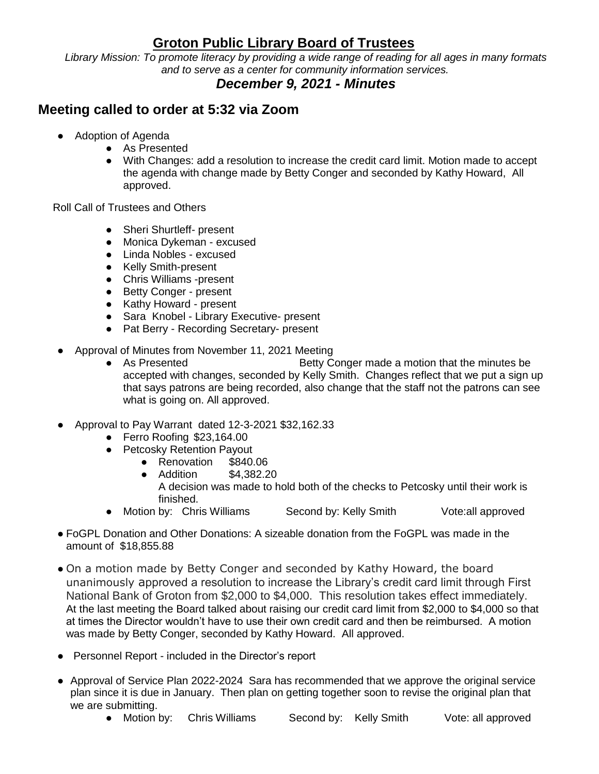## **Groton Public Library Board of Trustees**

*Library Mission: To promote literacy by providing a wide range of reading for all ages in many formats and to serve as a center for community information services.*

## *December 9, 2021 - Minutes*

## **Meeting called to order at 5:32 via Zoom**

- Adoption of Agenda
	- As Presented
	- With Changes: add a resolution to increase the credit card limit. Motion made to accept the agenda with change made by Betty Conger and seconded by Kathy Howard, All approved.

Roll Call of Trustees and Others

- Sheri Shurtleff- present
- Monica Dykeman excused
- Linda Nobles excused
- Kelly Smith-present
- Chris Williams -present
- Betty Conger present
- Kathy Howard present
- Sara Knobel Library Executive- present
- Pat Berry Recording Secretary- present
- Approval of Minutes from November 11, 2021 Meeting
	- As Presented Betty Conger made a motion that the minutes be accepted with changes, seconded by Kelly Smith. Changes reflect that we put a sign up that says patrons are being recorded, also change that the staff not the patrons can see what is going on. All approved.
- Approval to Pay Warrant dated 12-3-2021 \$32,162.33
	- Ferro Roofing \$23,164.00
	- Petcosky Retention Payout
		- Renovation \$840.06
		- Addition \$4,382.20 A decision was made to hold both of the checks to Petcosky until their work is finished.
	- Motion by: Chris Williams Second by: Kelly Smith Vote:all approved
- FoGPL Donation and Other Donations: A sizeable donation from the FoGPL was made in the amount of \$18,855.88
- On a motion made by Betty Conger and seconded by Kathy Howard, the board unanimously approved a resolution to increase the Library's credit card limit through First National Bank of Groton from \$2,000 to \$4,000. This resolution takes effect immediately. At the last meeting the Board talked about raising our credit card limit from \$2,000 to \$4,000 so that at times the Director wouldn't have to use their own credit card and then be reimbursed. A motion was made by Betty Conger, seconded by Kathy Howard. All approved.
- Personnel Report included in the Director's report
- Approval of Service Plan 2022-2024 Sara has recommended that we approve the original service plan since it is due in January. Then plan on getting together soon to revise the original plan that we are submitting.
	- Motion by: Chris Williams Second by: Kelly Smith Vote: all approved